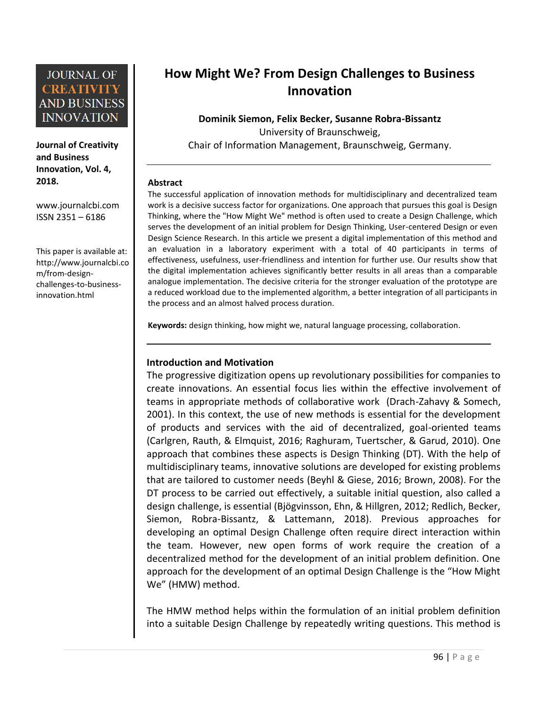**Journal of Creativity and Business Innovation, Vol. 4, 2018.**

[www.journalcbi.com](http://www.journalcbi.com/) ISSN 2351 – 6186

This paper is available at: [http://www.journalcbi.co](http://www.journalcbi.com/ideation-using-analogies.html) [m/from-design](http://www.journalcbi.com/ideation-using-analogies.html)[challenges-to-business](http://www.journalcbi.com/ideation-using-analogies.html)[innovation.html](http://www.journalcbi.com/ideation-using-analogies.html)

# **How Might We? From Design Challenges to Business Innovation**

**Dominik Siemon, Felix Becker, Susanne Robra-Bissantz** University of Braunschweig, Chair of Information Management, Braunschweig, Germany.

#### **Abstract**

The successful application of innovation methods for multidisciplinary and decentralized team work is a decisive success factor for organizations. One approach that pursues this goal is Design Thinking, where the "How Might We" method is often used to create a Design Challenge, which serves the development of an initial problem for Design Thinking, User-centered Design or even Design Science Research. In this article we present a digital implementation of this method and an evaluation in a laboratory experiment with a total of 40 participants in terms of effectiveness, usefulness, user-friendliness and intention for further use. Our results show that the digital implementation achieves significantly better results in all areas than a comparable analogue implementation. The decisive criteria for the stronger evaluation of the prototype are a reduced workload due to the implemented algorithm, a better integration of all participants in the process and an almost halved process duration.

**Keywords:** design thinking, how might we, natural language processing, collaboration.

### **Introduction and Motivation**

The progressive digitization opens up revolutionary possibilities for companies to create innovations. An essential focus lies within the effective involvement of teams in appropriate methods of collaborative work (Drach-Zahavy & Somech, 2001). In this context, the use of new methods is essential for the development of products and services with the aid of decentralized, goal-oriented teams (Carlgren, Rauth, & Elmquist, 2016; Raghuram, Tuertscher, & Garud, 2010). One approach that combines these aspects is Design Thinking (DT). With the help of multidisciplinary teams, innovative solutions are developed for existing problems that are tailored to customer needs (Beyhl & Giese, 2016; Brown, 2008). For the DT process to be carried out effectively, a suitable initial question, also called a design challenge, is essential (Bjögvinsson, Ehn, & Hillgren, 2012; Redlich, Becker, Siemon, Robra-Bissantz, & Lattemann, 2018). Previous approaches for developing an optimal Design Challenge often require direct interaction within the team. However, new open forms of work require the creation of a decentralized method for the development of an initial problem definition. One approach for the development of an optimal Design Challenge is the "How Might We" (HMW) method.

The HMW method helps within the formulation of an initial problem definition into a suitable Design Challenge by repeatedly writing questions. This method is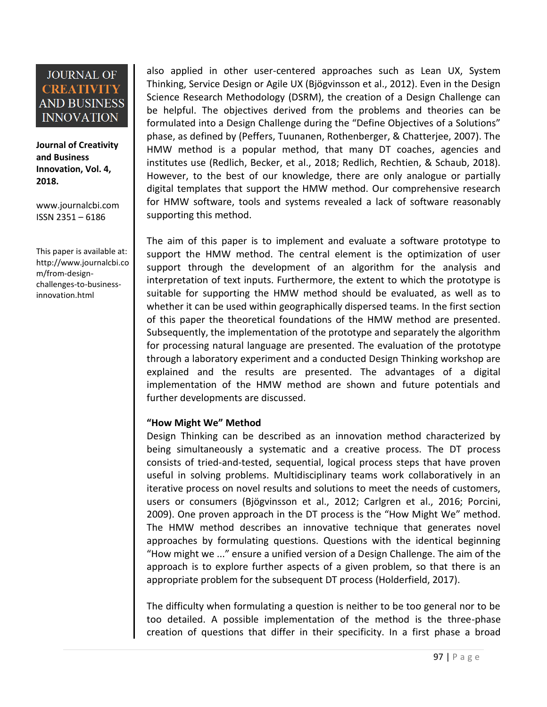**Journal of Creativity and Business Innovation, Vol. 4, 2018.**

[www.journalcbi.com](http://www.journalcbi.com/) ISSN 2351 – 6186

This paper is available at: [http://www.journalcbi.co](http://www.journalcbi.com/ideation-using-analogies.html) [m/from-design](http://www.journalcbi.com/ideation-using-analogies.html)[challenges-to-business](http://www.journalcbi.com/ideation-using-analogies.html)[innovation.html](http://www.journalcbi.com/ideation-using-analogies.html)

also applied in other user-centered approaches such as Lean UX, System Thinking, Service Design or Agile UX (Bjögvinsson et al., 2012). Even in the Design Science Research Methodology (DSRM), the creation of a Design Challenge can be helpful. The objectives derived from the problems and theories can be formulated into a Design Challenge during the "Define Objectives of a Solutions" phase, as defined by (Peffers, Tuunanen, Rothenberger, & Chatterjee, 2007). The HMW method is a popular method, that many DT coaches, agencies and institutes use (Redlich, Becker, et al., 2018; Redlich, Rechtien, & Schaub, 2018). However, to the best of our knowledge, there are only analogue or partially digital templates that support the HMW method. Our comprehensive research for HMW software, tools and systems revealed a lack of software reasonably supporting this method.

The aim of this paper is to implement and evaluate a software prototype to support the HMW method. The central element is the optimization of user support through the development of an algorithm for the analysis and interpretation of text inputs. Furthermore, the extent to which the prototype is suitable for supporting the HMW method should be evaluated, as well as to whether it can be used within geographically dispersed teams. In the first section of this paper the theoretical foundations of the HMW method are presented. Subsequently, the implementation of the prototype and separately the algorithm for processing natural language are presented. The evaluation of the prototype through a laboratory experiment and a conducted Design Thinking workshop are explained and the results are presented. The advantages of a digital implementation of the HMW method are shown and future potentials and further developments are discussed.

### **"How Might We" Method**

Design Thinking can be described as an innovation method characterized by being simultaneously a systematic and a creative process. The DT process consists of tried-and-tested, sequential, logical process steps that have proven useful in solving problems. Multidisciplinary teams work collaboratively in an iterative process on novel results and solutions to meet the needs of customers, users or consumers (Bjögvinsson et al., 2012; Carlgren et al., 2016; Porcini, 2009). One proven approach in the DT process is the "How Might We" method. The HMW method describes an innovative technique that generates novel approaches by formulating questions. Questions with the identical beginning "How might we ..." ensure a unified version of a Design Challenge. The aim of the approach is to explore further aspects of a given problem, so that there is an appropriate problem for the subsequent DT process (Holderfield, 2017).

The difficulty when formulating a question is neither to be too general nor to be too detailed. A possible implementation of the method is the three-phase creation of questions that differ in their specificity. In a first phase a broad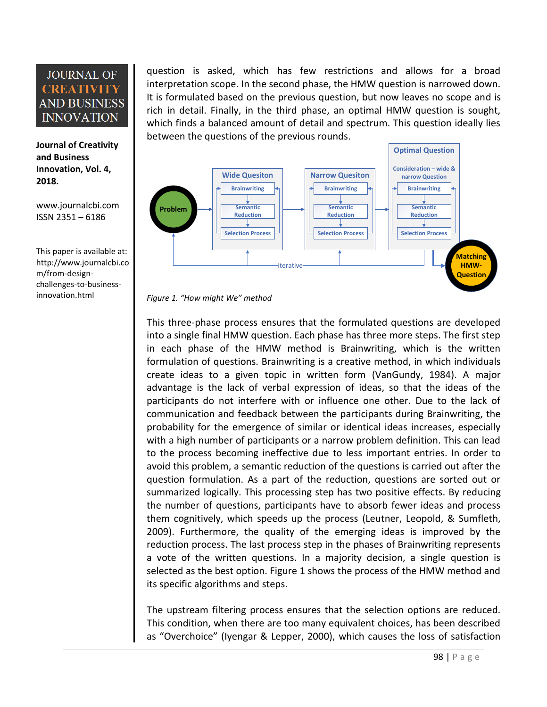**Journal of Creativity and Business Innovation, Vol. 4, 2018.**

[www.journalcbi.com](http://www.journalcbi.com/) ISSN 2351 – 6186

This paper is available at: [http://www.journalcbi.co](http://www.journalcbi.com/ideation-using-analogies.html) [m/from-design](http://www.journalcbi.com/ideation-using-analogies.html)[challenges-to-business](http://www.journalcbi.com/ideation-using-analogies.html)[innovation.html](http://www.journalcbi.com/ideation-using-analogies.html)

question is asked, which has few restrictions and allows for a broad interpretation scope. In the second phase, the HMW question is narrowed down. It is formulated based on the previous question, but now leaves no scope and is rich in detail. Finally, in the third phase, an optimal HMW question is sought, which finds a balanced amount of detail and spectrum. This question ideally lies between the questions of the previous rounds.



*Figure 1. "How might We" method*

This three-phase process ensures that the formulated questions are developed into a single final HMW question. Each phase has three more steps. The first step in each phase of the HMW method is Brainwriting, which is the written formulation of questions. Brainwriting is a creative method, in which individuals create ideas to a given topic in written form (VanGundy, 1984). A major advantage is the lack of verbal expression of ideas, so that the ideas of the participants do not interfere with or influence one other. Due to the lack of communication and feedback between the participants during Brainwriting, the probability for the emergence of similar or identical ideas increases, especially with a high number of participants or a narrow problem definition. This can lead to the process becoming ineffective due to less important entries. In order to avoid this problem, a semantic reduction of the questions is carried out after the question formulation. As a part of the reduction, questions are sorted out or summarized logically. This processing step has two positive effects. By reducing the number of questions, participants have to absorb fewer ideas and process them cognitively, which speeds up the process (Leutner, Leopold, & Sumfleth, 2009). Furthermore, the quality of the emerging ideas is improved by the reduction process. The last process step in the phases of Brainwriting represents a vote of the written questions. In a majority decision, a single question is selected as the best option. Figure 1 shows the process of the HMW method and its specific algorithms and steps.

The upstream filtering process ensures that the selection options are reduced. This condition, when there are too many equivalent choices, has been described as "Overchoice" (Iyengar & Lepper, 2000), which causes the loss of satisfaction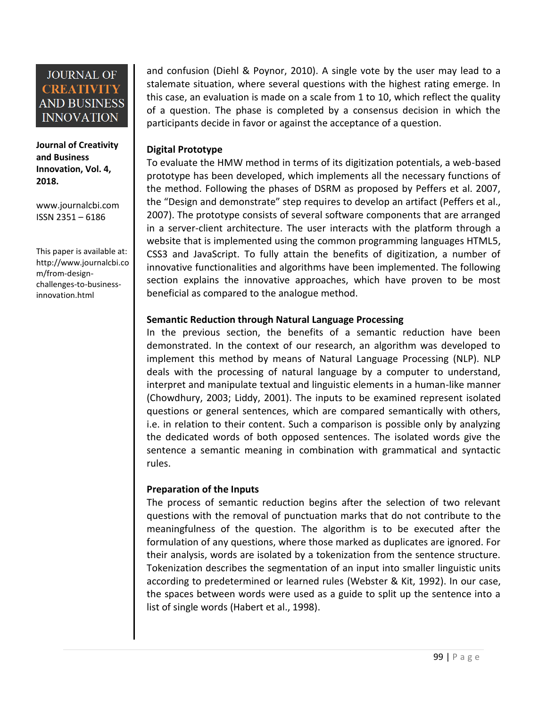#### **Journal of Creativity and Business Innovation, Vol. 4, 2018.**

[www.journalcbi.com](http://www.journalcbi.com/) ISSN 2351 – 6186

This paper is available at: [http://www.journalcbi.co](http://www.journalcbi.com/ideation-using-analogies.html) [m/from-design](http://www.journalcbi.com/ideation-using-analogies.html)[challenges-to-business](http://www.journalcbi.com/ideation-using-analogies.html)[innovation.html](http://www.journalcbi.com/ideation-using-analogies.html)

and confusion (Diehl & Poynor, 2010). A single vote by the user may lead to a stalemate situation, where several questions with the highest rating emerge. In this case, an evaluation is made on a scale from 1 to 10, which reflect the quality of a question. The phase is completed by a consensus decision in which the participants decide in favor or against the acceptance of a question.

### **Digital Prototype**

To evaluate the HMW method in terms of its digitization potentials, a web-based prototype has been developed, which implements all the necessary functions of the method. Following the phases of DSRM as proposed by Peffers et al. 2007, the "Design and demonstrate" step requires to develop an artifact (Peffers et al., 2007). The prototype consists of several software components that are arranged in a server-client architecture. The user interacts with the platform through a website that is implemented using the common programming languages HTML5, CSS3 and JavaScript. To fully attain the benefits of digitization, a number of innovative functionalities and algorithms have been implemented. The following section explains the innovative approaches, which have proven to be most beneficial as compared to the analogue method.

### **Semantic Reduction through Natural Language Processing**

In the previous section, the benefits of a semantic reduction have been demonstrated. In the context of our research, an algorithm was developed to implement this method by means of Natural Language Processing (NLP). NLP deals with the processing of natural language by a computer to understand, interpret and manipulate textual and linguistic elements in a human-like manner (Chowdhury, 2003; Liddy, 2001). The inputs to be examined represent isolated questions or general sentences, which are compared semantically with others, i.e. in relation to their content. Such a comparison is possible only by analyzing the dedicated words of both opposed sentences. The isolated words give the sentence a semantic meaning in combination with grammatical and syntactic rules.

### **Preparation of the Inputs**

The process of semantic reduction begins after the selection of two relevant questions with the removal of punctuation marks that do not contribute to the meaningfulness of the question. The algorithm is to be executed after the formulation of any questions, where those marked as duplicates are ignored. For their analysis, words are isolated by a tokenization from the sentence structure. Tokenization describes the segmentation of an input into smaller linguistic units according to predetermined or learned rules (Webster & Kit, 1992). In our case, the spaces between words were used as a guide to split up the sentence into a list of single words (Habert et al., 1998).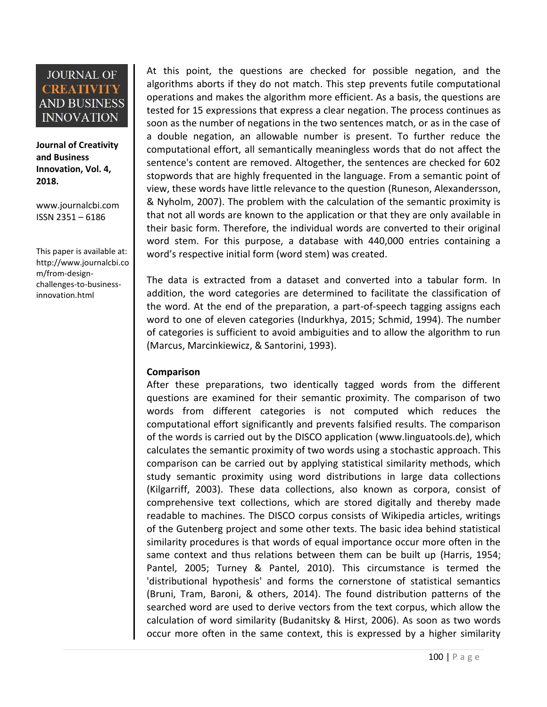**Journal of Creativity and Business Innovation, Vol. 4, 2018.**

[www.journalcbi.com](http://www.journalcbi.com/) ISSN 2351 – 6186

This paper is available at: [http://www.journalcbi.co](http://www.journalcbi.com/ideation-using-analogies.html) [m/from-design](http://www.journalcbi.com/ideation-using-analogies.html)[challenges-to-business](http://www.journalcbi.com/ideation-using-analogies.html)[innovation.html](http://www.journalcbi.com/ideation-using-analogies.html)

At this point, the questions are checked for possible negation, and the algorithms aborts if they do not match. This step prevents futile computational operations and makes the algorithm more efficient. As a basis, the questions are tested for 15 expressions that express a clear negation. The process continues as soon as the number of negations in the two sentences match, or as in the case of a double negation, an allowable number is present. To further reduce the computational effort, all semantically meaningless words that do not affect the sentence's content are removed. Altogether, the sentences are checked for 602 stopwords that are highly frequented in the language. From a semantic point of view, these words have little relevance to the question (Runeson, Alexandersson, & Nyholm, 2007). The problem with the calculation of the semantic proximity is that not all words are known to the application or that they are only available in their basic form. Therefore, the individual words are converted to their original word stem. For this purpose, a database with 440,000 entries containing a word's respective initial form (word stem) was created.

The data is extracted from a dataset and converted into a tabular form. In addition, the word categories are determined to facilitate the classification of the word. At the end of the preparation, a part-of-speech tagging assigns each word to one of eleven categories (Indurkhya, 2015; Schmid, 1994). The number of categories is sufficient to avoid ambiguities and to allow the algorithm to run (Marcus, Marcinkiewicz, & Santorini, 1993).

### **Comparison**

After these preparations, two identically tagged words from the different questions are examined for their semantic proximity. The comparison of two words from different categories is not computed which reduces the computational effort significantly and prevents falsified results. The comparison of the words is carried out by the DISCO application [\(www.linguatools.de\)](http://www.linguatools.de/), which calculates the semantic proximity of two words using a stochastic approach. This comparison can be carried out by applying statistical similarity methods, which study semantic proximity using word distributions in large data collections (Kilgarriff, 2003). These data collections, also known as corpora, consist of comprehensive text collections, which are stored digitally and thereby made readable to machines. The DISCO corpus consists of Wikipedia articles, writings of the Gutenberg project and some other texts. The basic idea behind statistical similarity procedures is that words of equal importance occur more often in the same context and thus relations between them can be built up (Harris, 1954; Pantel, 2005; Turney & Pantel, 2010). This circumstance is termed the 'distributional hypothesis' and forms the cornerstone of statistical semantics (Bruni, Tram, Baroni, & others, 2014). The found distribution patterns of the searched word are used to derive vectors from the text corpus, which allow the calculation of word similarity (Budanitsky & Hirst, 2006). As soon as two words occur more often in the same context, this is expressed by a higher similarity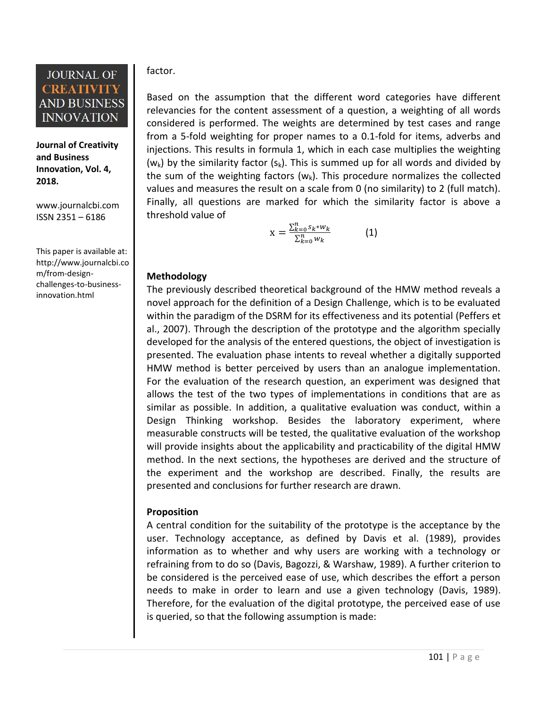**Journal of Creativity and Business Innovation, Vol. 4, 2018.**

[www.journalcbi.com](http://www.journalcbi.com/) ISSN 2351 – 6186

This paper is available at: [http://www.journalcbi.co](http://www.journalcbi.com/ideation-using-analogies.html) [m/from-design](http://www.journalcbi.com/ideation-using-analogies.html)[challenges-to-business](http://www.journalcbi.com/ideation-using-analogies.html)[innovation.html](http://www.journalcbi.com/ideation-using-analogies.html)

### factor.

Based on the assumption that the different word categories have different relevancies for the content assessment of a question, a weighting of all words considered is performed. The weights are determined by test cases and range from a 5-fold weighting for proper names to a 0.1-fold for items, adverbs and injections. This results in formula 1, which in each case multiplies the weighting  $(w<sub>k</sub>)$  by the similarity factor  $(s<sub>k</sub>)$ . This is summed up for all words and divided by the sum of the weighting factors  $(w_k)$ . This procedure normalizes the collected values and measures the result on a scale from 0 (no similarity) to 2 (full match). Finally, all questions are marked for which the similarity factor is above a threshold value of

$$
X = \frac{\sum_{k=0}^{n} s_k * w_k}{\sum_{k=0}^{n} w_k} \tag{1}
$$

### **Methodology**

The previously described theoretical background of the HMW method reveals a novel approach for the definition of a Design Challenge, which is to be evaluated within the paradigm of the DSRM for its effectiveness and its potential (Peffers et al., 2007). Through the description of the prototype and the algorithm specially developed for the analysis of the entered questions, the object of investigation is presented. The evaluation phase intents to reveal whether a digitally supported HMW method is better perceived by users than an analogue implementation. For the evaluation of the research question, an experiment was designed that allows the test of the two types of implementations in conditions that are as similar as possible. In addition, a qualitative evaluation was conduct, within a Design Thinking workshop. Besides the laboratory experiment, where measurable constructs will be tested, the qualitative evaluation of the workshop will provide insights about the applicability and practicability of the digital HMW method. In the next sections, the hypotheses are derived and the structure of the experiment and the workshop are described. Finally, the results are presented and conclusions for further research are drawn.

### **Proposition**

A central condition for the suitability of the prototype is the acceptance by the user. Technology acceptance, as defined by Davis et al. (1989), provides information as to whether and why users are working with a technology or refraining from to do so (Davis, Bagozzi, & Warshaw, 1989). A further criterion to be considered is the perceived ease of use, which describes the effort a person needs to make in order to learn and use a given technology (Davis, 1989). Therefore, for the evaluation of the digital prototype, the perceived ease of use is queried, so that the following assumption is made: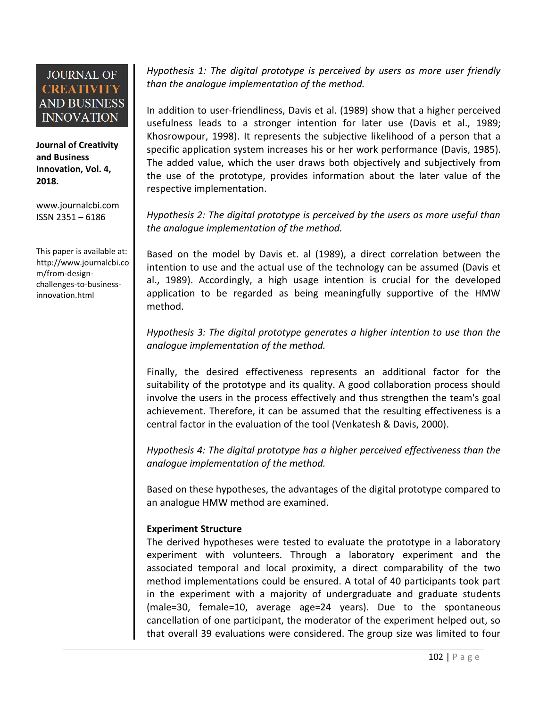**Journal of Creativity and Business Innovation, Vol. 4, 2018.**

[www.journalcbi.com](http://www.journalcbi.com/) ISSN 2351 – 6186

This paper is available at: [http://www.journalcbi.co](http://www.journalcbi.com/ideation-using-analogies.html) [m/from-design](http://www.journalcbi.com/ideation-using-analogies.html)[challenges-to-business](http://www.journalcbi.com/ideation-using-analogies.html)[innovation.html](http://www.journalcbi.com/ideation-using-analogies.html)

*Hypothesis 1: The digital prototype is perceived by users as more user friendly than the analogue implementation of the method.*

In addition to user-friendliness, Davis et al. (1989) show that a higher perceived usefulness leads to a stronger intention for later use (Davis et al., 1989; Khosrowpour, 1998). It represents the subjective likelihood of a person that a specific application system increases his or her work performance (Davis, 1985). The added value, which the user draws both objectively and subjectively from the use of the prototype, provides information about the later value of the respective implementation.

*Hypothesis 2: The digital prototype is perceived by the users as more useful than the analogue implementation of the method.*

Based on the model by Davis et. al (1989), a direct correlation between the intention to use and the actual use of the technology can be assumed (Davis et al., 1989). Accordingly, a high usage intention is crucial for the developed application to be regarded as being meaningfully supportive of the HMW method.

*Hypothesis 3: The digital prototype generates a higher intention to use than the analogue implementation of the method.*

Finally, the desired effectiveness represents an additional factor for the suitability of the prototype and its quality. A good collaboration process should involve the users in the process effectively and thus strengthen the team's goal achievement. Therefore, it can be assumed that the resulting effectiveness is a central factor in the evaluation of the tool (Venkatesh & Davis, 2000).

*Hypothesis 4: The digital prototype has a higher perceived effectiveness than the analogue implementation of the method.*

Based on these hypotheses, the advantages of the digital prototype compared to an analogue HMW method are examined.

### **Experiment Structure**

The derived hypotheses were tested to evaluate the prototype in a laboratory experiment with volunteers. Through a laboratory experiment and the associated temporal and local proximity, a direct comparability of the two method implementations could be ensured. A total of 40 participants took part in the experiment with a majority of undergraduate and graduate students (male=30, female=10, average age=24 years). Due to the spontaneous cancellation of one participant, the moderator of the experiment helped out, so that overall 39 evaluations were considered. The group size was limited to four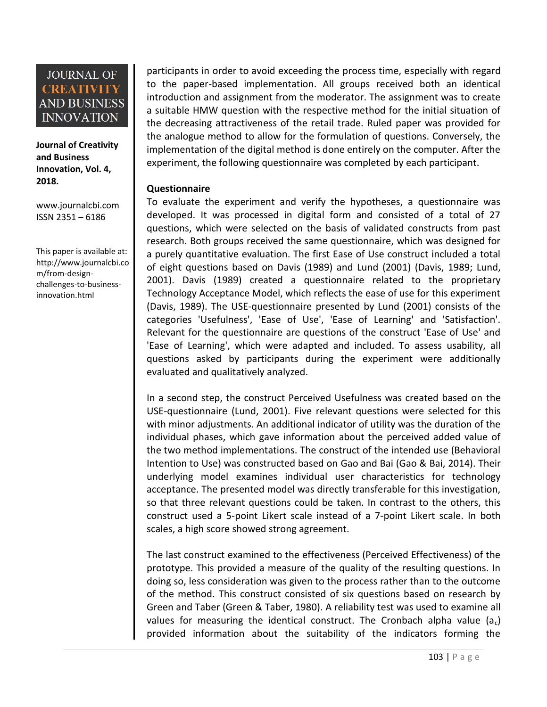**Journal of Creativity and Business Innovation, Vol. 4, 2018.**

[www.journalcbi.com](http://www.journalcbi.com/) ISSN 2351 – 6186

This paper is available at: [http://www.journalcbi.co](http://www.journalcbi.com/ideation-using-analogies.html) [m/from-design](http://www.journalcbi.com/ideation-using-analogies.html)[challenges-to-business](http://www.journalcbi.com/ideation-using-analogies.html)[innovation.html](http://www.journalcbi.com/ideation-using-analogies.html)

participants in order to avoid exceeding the process time, especially with regard to the paper-based implementation. All groups received both an identical introduction and assignment from the moderator. The assignment was to create a suitable HMW question with the respective method for the initial situation of the decreasing attractiveness of the retail trade. Ruled paper was provided for the analogue method to allow for the formulation of questions. Conversely, the implementation of the digital method is done entirely on the computer. After the experiment, the following questionnaire was completed by each participant.

### **Questionnaire**

To evaluate the experiment and verify the hypotheses, a questionnaire was developed. It was processed in digital form and consisted of a total of 27 questions, which were selected on the basis of validated constructs from past research. Both groups received the same questionnaire, which was designed for a purely quantitative evaluation. The first Ease of Use construct included a total of eight questions based on Davis (1989) and Lund (2001) (Davis, 1989; Lund, 2001). Davis (1989) created a questionnaire related to the proprietary Technology Acceptance Model, which reflects the ease of use for this experiment (Davis, 1989). The USE-questionnaire presented by Lund (2001) consists of the categories 'Usefulness', 'Ease of Use', 'Ease of Learning' and 'Satisfaction'. Relevant for the questionnaire are questions of the construct 'Ease of Use' and 'Ease of Learning', which were adapted and included. To assess usability, all questions asked by participants during the experiment were additionally evaluated and qualitatively analyzed.

In a second step, the construct Perceived Usefulness was created based on the USE-questionnaire (Lund, 2001). Five relevant questions were selected for this with minor adjustments. An additional indicator of utility was the duration of the individual phases, which gave information about the perceived added value of the two method implementations. The construct of the intended use (Behavioral Intention to Use) was constructed based on Gao and Bai (Gao & Bai, 2014). Their underlying model examines individual user characteristics for technology acceptance. The presented model was directly transferable for this investigation, so that three relevant questions could be taken. In contrast to the others, this construct used a 5-point Likert scale instead of a 7-point Likert scale. In both scales, a high score showed strong agreement.

The last construct examined to the effectiveness (Perceived Effectiveness) of the prototype. This provided a measure of the quality of the resulting questions. In doing so, less consideration was given to the process rather than to the outcome of the method. This construct consisted of six questions based on research by Green and Taber (Green & Taber, 1980). A reliability test was used to examine all values for measuring the identical construct. The Cronbach alpha value  $(a_c)$ provided information about the suitability of the indicators forming the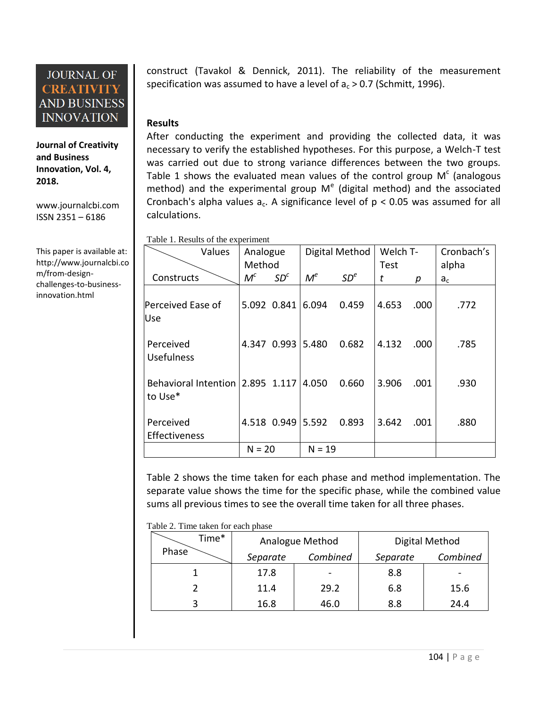**Journal of Creativity and Business Innovation, Vol. 4, 2018.**

[www.journalcbi.com](http://www.journalcbi.com/) ISSN 2351 – 6186

This paper is available at: [http://www.journalcbi.co](http://www.journalcbi.com/ideation-using-analogies.html) [m/from-design](http://www.journalcbi.com/ideation-using-analogies.html)[challenges-to-business](http://www.journalcbi.com/ideation-using-analogies.html)[innovation.html](http://www.journalcbi.com/ideation-using-analogies.html)

construct (Tavakol & Dennick, 2011). The reliability of the measurement specification was assumed to have a level of  $a_c > 0.7$  (Schmitt, 1996).

### **Results**

After conducting the experiment and providing the collected data, it was necessary to verify the established hypotheses. For this purpose, a Welch-T test was carried out due to strong variance differences between the two groups. Table 1 shows the evaluated mean values of the control group  $M<sup>c</sup>$  (analogous method) and the experimental group  $M^{e}$  (digital method) and the associated Cronbach's alpha values  $a_c$ . A significance level of  $p < 0.05$  was assumed for all calculations.

Table 1. Results of the experiment

| Values                                            | Analogue |                   | Digital Method |                 | Welch T- |      | Cronbach's |  |
|---------------------------------------------------|----------|-------------------|----------------|-----------------|----------|------|------------|--|
|                                                   | Method   |                   |                |                 | Test     |      | alpha      |  |
| Constructs                                        | $M^c$    | SD <sup>c</sup>   | $M^e$          | SD <sup>e</sup> | t        | р    | $a_c$      |  |
| Perceived Ease of<br>Use                          |          | 5.092 0.841       | 6.094          | 0.459           | 4.653    | .000 | .772       |  |
| Perceived<br><b>Usefulness</b>                    |          | 4.347 0.993 5.480 |                | 0.682           | 4.132    | .000 | .785       |  |
| Behavioral Intention 2.895 1.117 4.050<br>to Use* |          |                   |                | 0.660           | 3.906    | .001 | .930       |  |
| Perceived<br>Effectiveness                        |          | 4.518 0.949 5.592 |                | 0.893           | 3.642    | .001 | .880       |  |
|                                                   | $N = 20$ |                   | $N = 19$       |                 |          |      |            |  |

Table 2 shows the time taken for each phase and method implementation. The separate value shows the time for the specific phase, while the combined value sums all previous times to see the overall time taken for all three phases.

Table 2. Time taken for each phase

|       | Time* |          | Analogue Method              | Digital Method |                              |  |
|-------|-------|----------|------------------------------|----------------|------------------------------|--|
| Phase |       | Separate | Combined                     | Separate       | Combined                     |  |
|       |       | 17.8     | $\qquad \qquad \blacksquare$ | 8.8            | $\qquad \qquad \blacksquare$ |  |
|       |       | 11.4     | 29.2                         | 6.8            | 15.6                         |  |
|       |       | 16.8     | 46.0                         | 8.8            | 24.4                         |  |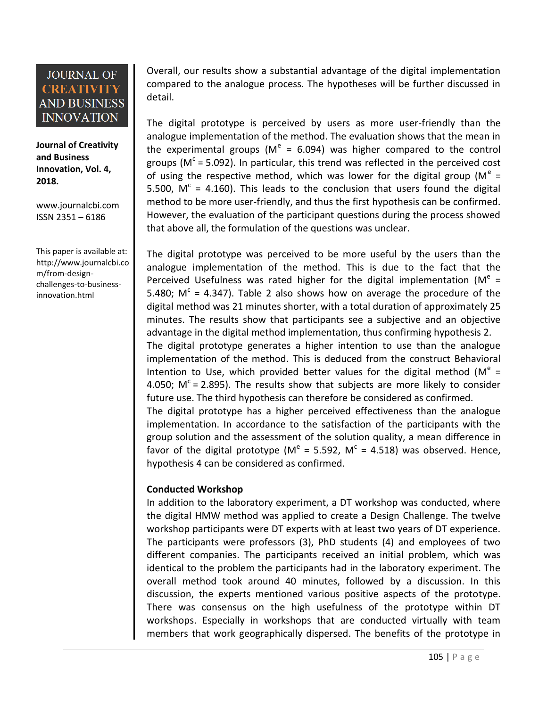**Journal of Creativity and Business Innovation, Vol. 4, 2018.**

[www.journalcbi.com](http://www.journalcbi.com/) ISSN 2351 – 6186

This paper is available at: [http://www.journalcbi.co](http://www.journalcbi.com/ideation-using-analogies.html) [m/from-design](http://www.journalcbi.com/ideation-using-analogies.html)[challenges-to-business](http://www.journalcbi.com/ideation-using-analogies.html)[innovation.html](http://www.journalcbi.com/ideation-using-analogies.html)

Overall, our results show a substantial advantage of the digital implementation compared to the analogue process. The hypotheses will be further discussed in detail.

The digital prototype is perceived by users as more user-friendly than the analogue implementation of the method. The evaluation shows that the mean in the experimental groups ( $M^e = 6.094$ ) was higher compared to the control groups (M<sup>c</sup> = 5.092). In particular, this trend was reflected in the perceived cost of using the respective method, which was lower for the digital group (M<sup>e</sup> = 5.500,  $M^c = 4.160$ ). This leads to the conclusion that users found the digital method to be more user-friendly, and thus the first hypothesis can be confirmed. However, the evaluation of the participant questions during the process showed that above all, the formulation of the questions was unclear.

The digital prototype was perceived to be more useful by the users than the analogue implementation of the method. This is due to the fact that the Perceived Usefulness was rated higher for the digital implementation ( $M^e$  = 5.480;  $M^c = 4.347$ ). Table 2 also shows how on average the procedure of the digital method was 21 minutes shorter, with a total duration of approximately 25 minutes. The results show that participants see a subjective and an objective advantage in the digital method implementation, thus confirming hypothesis 2. The digital prototype generates a higher intention to use than the analogue implementation of the method. This is deduced from the construct Behavioral Intention to Use, which provided better values for the digital method ( $M^e$  = 4.050;  $M^c$  = 2.895). The results show that subjects are more likely to consider future use. The third hypothesis can therefore be considered as confirmed.

The digital prototype has a higher perceived effectiveness than the analogue implementation. In accordance to the satisfaction of the participants with the group solution and the assessment of the solution quality, a mean difference in favor of the digital prototype (M<sup>e</sup> = 5.592, M<sup>c</sup> = 4.518) was observed. Hence, hypothesis 4 can be considered as confirmed.

### **Conducted Workshop**

In addition to the laboratory experiment, a DT workshop was conducted, where the digital HMW method was applied to create a Design Challenge. The twelve workshop participants were DT experts with at least two years of DT experience. The participants were professors (3), PhD students (4) and employees of two different companies. The participants received an initial problem, which was identical to the problem the participants had in the laboratory experiment. The overall method took around 40 minutes, followed by a discussion. In this discussion, the experts mentioned various positive aspects of the prototype. There was consensus on the high usefulness of the prototype within DT workshops. Especially in workshops that are conducted virtually with team members that work geographically dispersed. The benefits of the prototype in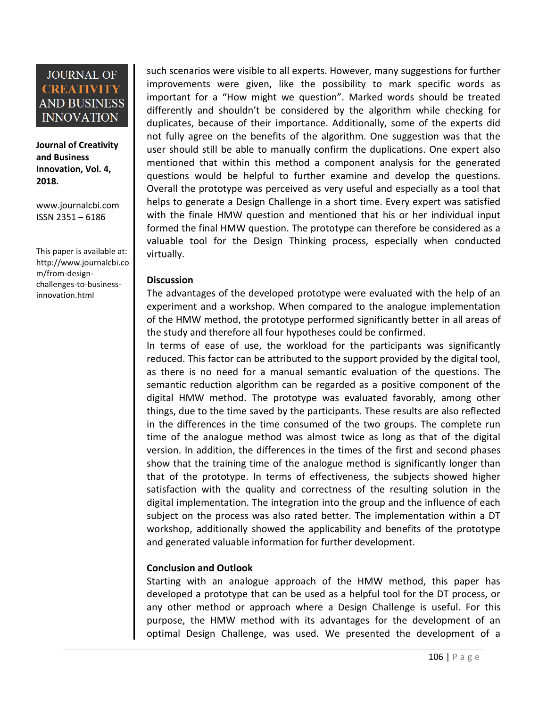**Journal of Creativity and Business Innovation, Vol. 4, 2018.**

[www.journalcbi.com](http://www.journalcbi.com/) ISSN 2351 – 6186

This paper is available at: [http://www.journalcbi.co](http://www.journalcbi.com/ideation-using-analogies.html) [m/from-design](http://www.journalcbi.com/ideation-using-analogies.html)[challenges-to-business](http://www.journalcbi.com/ideation-using-analogies.html)[innovation.html](http://www.journalcbi.com/ideation-using-analogies.html)

such scenarios were visible to all experts. However, many suggestions for further improvements were given, like the possibility to mark specific words as important for a "How might we question". Marked words should be treated differently and shouldn't be considered by the algorithm while checking for duplicates, because of their importance. Additionally, some of the experts did not fully agree on the benefits of the algorithm. One suggestion was that the user should still be able to manually confirm the duplications. One expert also mentioned that within this method a component analysis for the generated questions would be helpful to further examine and develop the questions. Overall the prototype was perceived as very useful and especially as a tool that helps to generate a Design Challenge in a short time. Every expert was satisfied with the finale HMW question and mentioned that his or her individual input formed the final HMW question. The prototype can therefore be considered as a valuable tool for the Design Thinking process, especially when conducted virtually.

#### **Discussion**

The advantages of the developed prototype were evaluated with the help of an experiment and a workshop. When compared to the analogue implementation of the HMW method, the prototype performed significantly better in all areas of the study and therefore all four hypotheses could be confirmed.

In terms of ease of use, the workload for the participants was significantly reduced. This factor can be attributed to the support provided by the digital tool, as there is no need for a manual semantic evaluation of the questions. The semantic reduction algorithm can be regarded as a positive component of the digital HMW method. The prototype was evaluated favorably, among other things, due to the time saved by the participants. These results are also reflected in the differences in the time consumed of the two groups. The complete run time of the analogue method was almost twice as long as that of the digital version. In addition, the differences in the times of the first and second phases show that the training time of the analogue method is significantly longer than that of the prototype. In terms of effectiveness, the subjects showed higher satisfaction with the quality and correctness of the resulting solution in the digital implementation. The integration into the group and the influence of each subject on the process was also rated better. The implementation within a DT workshop, additionally showed the applicability and benefits of the prototype and generated valuable information for further development.

### **Conclusion and Outlook**

Starting with an analogue approach of the HMW method, this paper has developed a prototype that can be used as a helpful tool for the DT process, or any other method or approach where a Design Challenge is useful. For this purpose, the HMW method with its advantages for the development of an optimal Design Challenge, was used. We presented the development of a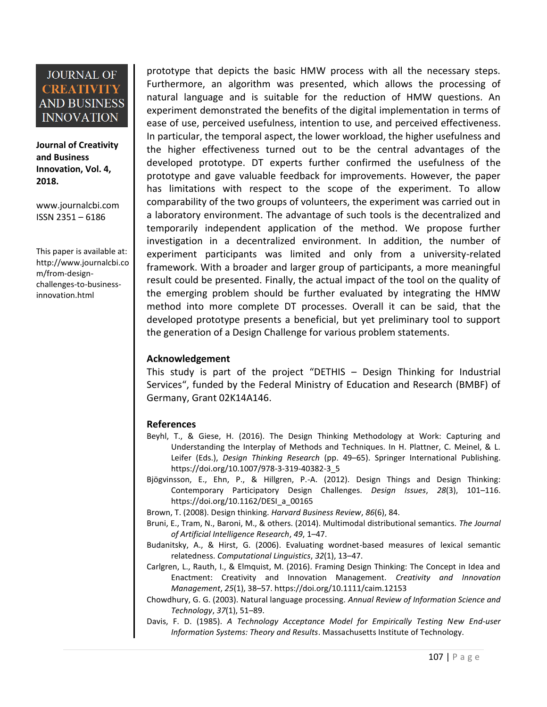**Journal of Creativity and Business Innovation, Vol. 4, 2018.**

[www.journalcbi.com](http://www.journalcbi.com/) ISSN 2351 – 6186

This paper is available at: [http://www.journalcbi.co](http://www.journalcbi.com/ideation-using-analogies.html) [m/from-design](http://www.journalcbi.com/ideation-using-analogies.html)[challenges-to-business](http://www.journalcbi.com/ideation-using-analogies.html)[innovation.html](http://www.journalcbi.com/ideation-using-analogies.html)

prototype that depicts the basic HMW process with all the necessary steps. Furthermore, an algorithm was presented, which allows the processing of natural language and is suitable for the reduction of HMW questions. An experiment demonstrated the benefits of the digital implementation in terms of ease of use, perceived usefulness, intention to use, and perceived effectiveness. In particular, the temporal aspect, the lower workload, the higher usefulness and the higher effectiveness turned out to be the central advantages of the developed prototype. DT experts further confirmed the usefulness of the prototype and gave valuable feedback for improvements. However, the paper has limitations with respect to the scope of the experiment. To allow comparability of the two groups of volunteers, the experiment was carried out in a laboratory environment. The advantage of such tools is the decentralized and temporarily independent application of the method. We propose further investigation in a decentralized environment. In addition, the number of experiment participants was limited and only from a university-related framework. With a broader and larger group of participants, a more meaningful result could be presented. Finally, the actual impact of the tool on the quality of the emerging problem should be further evaluated by integrating the HMW method into more complete DT processes. Overall it can be said, that the developed prototype presents a beneficial, but yet preliminary tool to support the generation of a Design Challenge for various problem statements.

### **Acknowledgement**

This study is part of the project "DETHIS – Design Thinking for Industrial Services", funded by the Federal Ministry of Education and Research (BMBF) of Germany, Grant 02K14A146.

#### **References**

- Beyhl, T., & Giese, H. (2016). The Design Thinking Methodology at Work: Capturing and Understanding the Interplay of Methods and Techniques. In H. Plattner, C. Meinel, & L. Leifer (Eds.), *Design Thinking Research* (pp. 49–65). Springer International Publishing. https://doi.org/10.1007/978-3-319-40382-3\_5
- Bjögvinsson, E., Ehn, P., & Hillgren, P.-A. (2012). Design Things and Design Thinking: Contemporary Participatory Design Challenges. *Design Issues*, *28*(3), 101–116. https://doi.org/10.1162/DESI\_a\_00165

Brown, T. (2008). Design thinking. *Harvard Business Review*, *86*(6), 84.

- Bruni, E., Tram, N., Baroni, M., & others. (2014). Multimodal distributional semantics. *The Journal of Artificial Intelligence Research*, *49*, 1–47.
- Budanitsky, A., & Hirst, G. (2006). Evaluating wordnet-based measures of lexical semantic relatedness. *Computational Linguistics*, *32*(1), 13–47.
- Carlgren, L., Rauth, I., & Elmquist, M. (2016). Framing Design Thinking: The Concept in Idea and Enactment: Creativity and Innovation Management. *Creativity and Innovation Management*, *25*(1), 38–57. https://doi.org/10.1111/caim.12153
- Chowdhury, G. G. (2003). Natural language processing. *Annual Review of Information Science and Technology*, *37*(1), 51–89.
- Davis, F. D. (1985). *A Technology Acceptance Model for Empirically Testing New End-user Information Systems: Theory and Results*. Massachusetts Institute of Technology.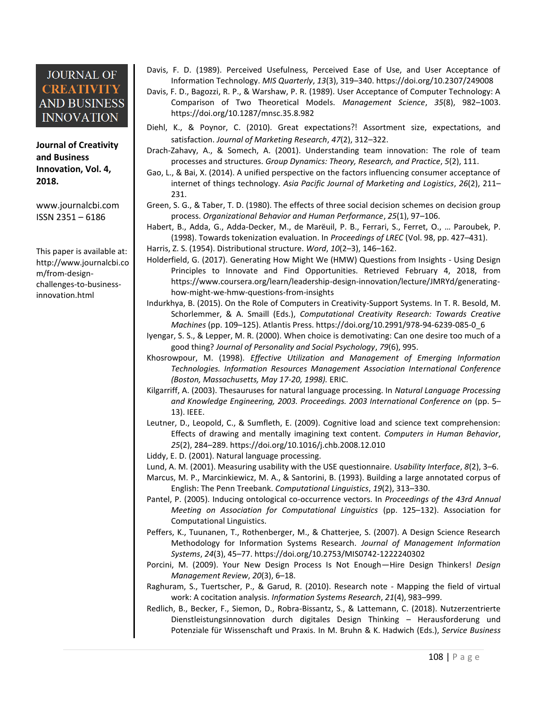**Journal of Creativity and Business Innovation, Vol. 4, 2018.**

[www.journalcbi.com](http://www.journalcbi.com/) ISSN 2351 – 6186

This paper is available at: [http://www.journalcbi.co](http://www.journalcbi.com/ideation-using-analogies.html) [m/from-design](http://www.journalcbi.com/ideation-using-analogies.html)[challenges-to-business](http://www.journalcbi.com/ideation-using-analogies.html)[innovation.html](http://www.journalcbi.com/ideation-using-analogies.html)

- Davis, F. D. (1989). Perceived Usefulness, Perceived Ease of Use, and User Acceptance of Information Technology. *MIS Quarterly*, *13*(3), 319–340. https://doi.org/10.2307/249008
- Davis, F. D., Bagozzi, R. P., & Warshaw, P. R. (1989). User Acceptance of Computer Technology: A Comparison of Two Theoretical Models. *Management Science*, *35*(8), 982–1003. https://doi.org/10.1287/mnsc.35.8.982
- Diehl, K., & Poynor, C. (2010). Great expectations?! Assortment size, expectations, and satisfaction. *Journal of Marketing Research*, *47*(2), 312–322.
- Drach-Zahavy, A., & Somech, A. (2001). Understanding team innovation: The role of team processes and structures. *Group Dynamics: Theory, Research, and Practice*, *5*(2), 111.
- Gao, L., & Bai, X. (2014). A unified perspective on the factors influencing consumer acceptance of internet of things technology. *Asia Pacific Journal of Marketing and Logistics*, *26*(2), 211– 231.
- Green, S. G., & Taber, T. D. (1980). The effects of three social decision schemes on decision group process. *Organizational Behavior and Human Performance*, *25*(1), 97–106.
- Habert, B., Adda, G., Adda-Decker, M., de Marëuil, P. B., Ferrari, S., Ferret, O., … Paroubek, P. (1998). Towards tokenization evaluation. In *Proceedings of LREC* (Vol. 98, pp. 427–431).

Harris, Z. S. (1954). Distributional structure. *Word*, *10*(2–3), 146–162.

- Holderfield, G. (2017). Generating How Might We (HMW) Questions from Insights Using Design Principles to Innovate and Find Opportunities. Retrieved February 4, 2018, from https://www.coursera.org/learn/leadership-design-innovation/lecture/JMRYd/generatinghow-might-we-hmw-questions-from-insights
- Indurkhya, B. (2015). On the Role of Computers in Creativity-Support Systems. In T. R. Besold, M. Schorlemmer, & A. Smaill (Eds.), *Computational Creativity Research: Towards Creative Machines* (pp. 109–125). Atlantis Press. https://doi.org/10.2991/978-94-6239-085-0\_6
- Iyengar, S. S., & Lepper, M. R. (2000). When choice is demotivating: Can one desire too much of a good thing? *Journal of Personality and Social Psychology*, *79*(6), 995.
- Khosrowpour, M. (1998). *Effective Utilization and Management of Emerging Information Technologies. Information Resources Management Association International Conference (Boston, Massachusetts, May 17-20, 1998).* ERIC.
- Kilgarriff, A. (2003). Thesauruses for natural language processing. In *Natural Language Processing and Knowledge Engineering, 2003. Proceedings. 2003 International Conference on* (pp. 5– 13). IEEE.
- Leutner, D., Leopold, C., & Sumfleth, E. (2009). Cognitive load and science text comprehension: Effects of drawing and mentally imagining text content. *Computers in Human Behavior*, *25*(2), 284–289. https://doi.org/10.1016/j.chb.2008.12.010
- Liddy, E. D. (2001). Natural language processing.
- Lund, A. M. (2001). Measuring usability with the USE questionnaire. *Usability Interface*, *8*(2), 3–6.
- Marcus, M. P., Marcinkiewicz, M. A., & Santorini, B. (1993). Building a large annotated corpus of English: The Penn Treebank. *Computational Linguistics*, *19*(2), 313–330.
- Pantel, P. (2005). Inducing ontological co-occurrence vectors. In *Proceedings of the 43rd Annual Meeting on Association for Computational Linguistics* (pp. 125–132). Association for Computational Linguistics.
- Peffers, K., Tuunanen, T., Rothenberger, M., & Chatterjee, S. (2007). A Design Science Research Methodology for Information Systems Research. *Journal of Management Information Systems*, *24*(3), 45–77. https://doi.org/10.2753/MIS0742-1222240302
- Porcini, M. (2009). Your New Design Process Is Not Enough—Hire Design Thinkers! *Design Management Review*, *20*(3), 6–18.
- Raghuram, S., Tuertscher, P., & Garud, R. (2010). Research note Mapping the field of virtual work: A cocitation analysis. *Information Systems Research*, *21*(4), 983–999.
- Redlich, B., Becker, F., Siemon, D., Robra-Bissantz, S., & Lattemann, C. (2018). Nutzerzentrierte Dienstleistungsinnovation durch digitales Design Thinking – Herausforderung und Potenziale für Wissenschaft und Praxis. In M. Bruhn & K. Hadwich (Eds.), *Service Business*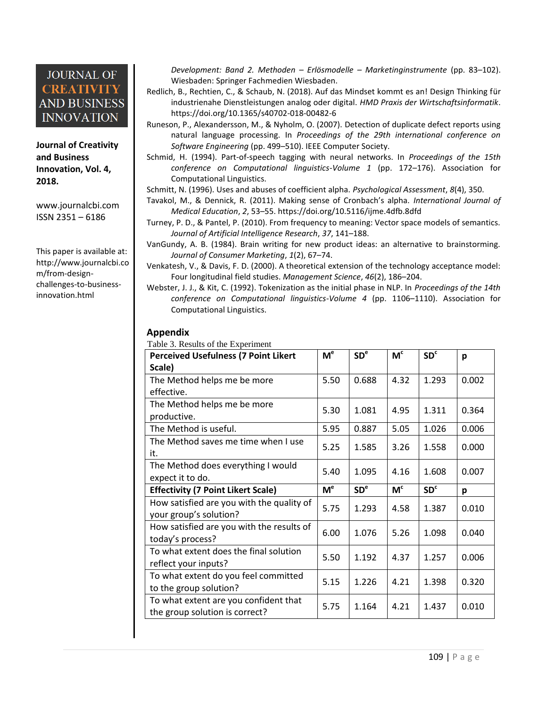**Journal of Creativity and Business Innovation, Vol. 4, 2018.**

[www.journalcbi.com](http://www.journalcbi.com/) ISSN 2351 – 6186

This paper is available at: [http://www.journalcbi.co](http://www.journalcbi.com/ideation-using-analogies.html) [m/from-design](http://www.journalcbi.com/ideation-using-analogies.html)[challenges-to-business](http://www.journalcbi.com/ideation-using-analogies.html)[innovation.html](http://www.journalcbi.com/ideation-using-analogies.html)

*Development: Band 2. Methoden – Erlösmodelle – Marketinginstrumente* (pp. 83–102). Wiesbaden: Springer Fachmedien Wiesbaden.

- Redlich, B., Rechtien, C., & Schaub, N. (2018). Auf das Mindset kommt es an! Design Thinking für industrienahe Dienstleistungen analog oder digital. *HMD Praxis der Wirtschaftsinformatik*. https://doi.org/10.1365/s40702-018-00482-6
- Runeson, P., Alexandersson, M., & Nyholm, O. (2007). Detection of duplicate defect reports using natural language processing. In *Proceedings of the 29th international conference on Software Engineering* (pp. 499–510). IEEE Computer Society.
- Schmid, H. (1994). Part-of-speech tagging with neural networks. In *Proceedings of the 15th conference on Computational linguistics-Volume 1* (pp. 172–176). Association for Computational Linguistics.

Schmitt, N. (1996). Uses and abuses of coefficient alpha. *Psychological Assessment*, *8*(4), 350.

- Tavakol, M., & Dennick, R. (2011). Making sense of Cronbach's alpha. *International Journal of Medical Education*, *2*, 53–55. https://doi.org/10.5116/ijme.4dfb.8dfd
- Turney, P. D., & Pantel, P. (2010). From frequency to meaning: Vector space models of semantics. *Journal of Artificial Intelligence Research*, *37*, 141–188.

VanGundy, A. B. (1984). Brain writing for new product ideas: an alternative to brainstorming. *Journal of Consumer Marketing*, *1*(2), 67–74.

Venkatesh, V., & Davis, F. D. (2000). A theoretical extension of the technology acceptance model: Four longitudinal field studies. *Management Science*, *46*(2), 186–204.

Webster, J. J., & Kit, C. (1992). Tokenization as the initial phase in NLP. In *Proceedings of the 14th conference on Computational linguistics-Volume 4* (pp. 1106–1110). Association for Computational Linguistics.

#### **Appendix**

Table 3. Results of the Experiment

| <b>Perceived Usefulness (7 Point Likert</b> |                | SD <sup>e</sup> | M <sup>c</sup> | SD <sup>c</sup> | p     |
|---------------------------------------------|----------------|-----------------|----------------|-----------------|-------|
| Scale)                                      |                |                 |                |                 |       |
| The Method helps me be more                 | 5.50           | 0.688           | 4.32           | 1.293           | 0.002 |
| effective.                                  |                |                 |                |                 |       |
| The Method helps me be more                 | 5.30           | 1.081           | 4.95           | 1.311           | 0.364 |
| productive.                                 |                |                 |                |                 |       |
| The Method is useful.                       | 5.95           | 0.887           | 5.05           | 1.026           | 0.006 |
| The Method saves me time when I use         | 5.25           | 1.585           | 3.26           | 1.558           | 0.000 |
| it.                                         |                |                 |                |                 |       |
| The Method does everything I would          | 5.40           | 1.095           | 4.16           | 1.608           | 0.007 |
| expect it to do.                            |                |                 |                |                 |       |
|                                             |                |                 |                |                 |       |
| <b>Effectivity (7 Point Likert Scale)</b>   | M <sup>e</sup> | SD <sup>e</sup> | M <sub>c</sub> | SD <sup>c</sup> | p     |
| How satisfied are you with the quality of   |                |                 |                |                 |       |
| your group's solution?                      | 5.75           | 1.293           | 4.58           | 1.387           | 0.010 |
| How satisfied are you with the results of   |                |                 |                |                 |       |
| today's process?                            | 6.00           | 1.076           | 5.26           | 1.098           | 0.040 |
| To what extent does the final solution      |                |                 |                |                 |       |
| reflect your inputs?                        | 5.50           | 1.192           | 4.37           | 1.257           | 0.006 |
| To what extent do you feel committed        |                |                 |                |                 |       |
| to the group solution?                      | 5.15           | 1.226           | 4.21           | 1.398           | 0.320 |
| To what extent are you confident that       | 5.75           | 1.164           | 4.21           | 1.437           | 0.010 |